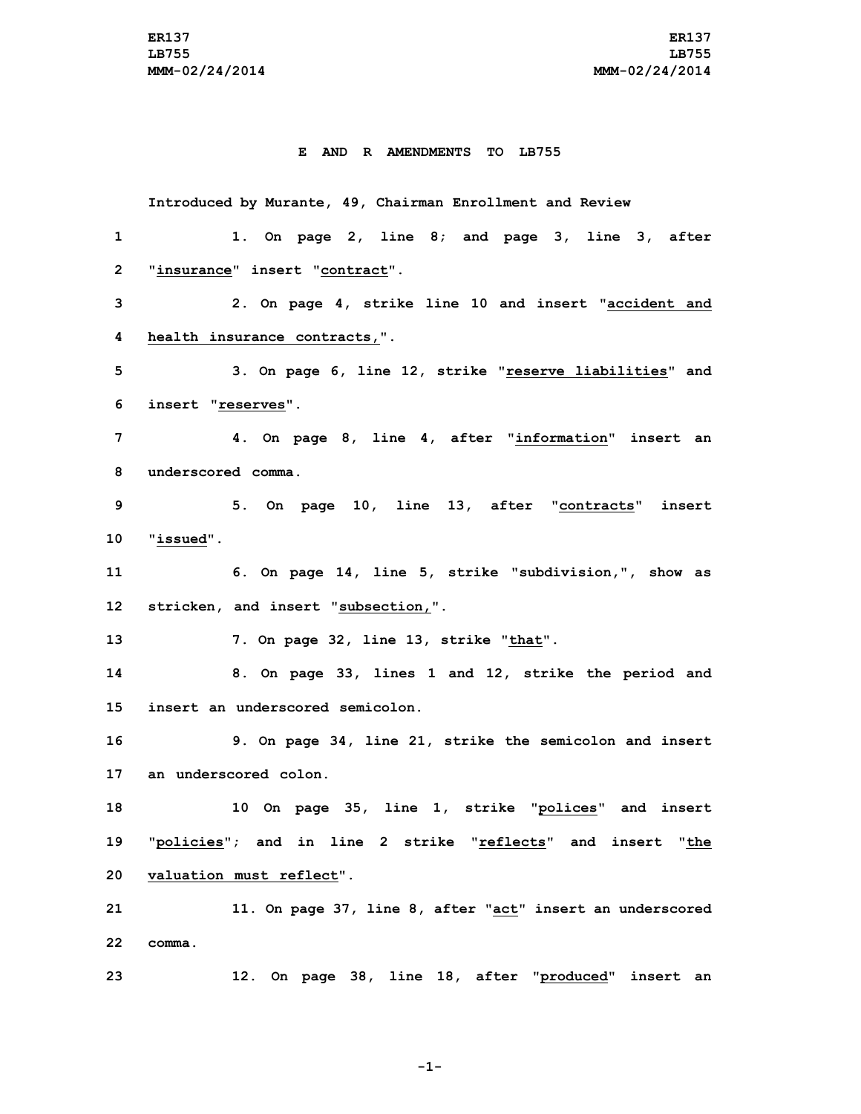## **E AND R AMENDMENTS TO LB755**

**Introduced by Murante, 49, Chairman Enrollment and Review 1. On page 2, line 8; and page 3, line 3, after "insurance" insert "contract". 2. On page 4, strike line 10 and insert "accident and health insurance contracts,". 3. On page 6, line 12, strike "reserve liabilities" and insert "reserves". 4. On page 8, line 4, after "information" insert an underscored comma. 5. On page 10, line 13, after "contracts" insert "issued". 6. On page 14, line 5, strike "subdivision,", show as stricken, and insert "subsection,". 7. On page 32, line 13, strike "that". 8. On page 33, lines 1 and 12, strike the period and insert an underscored semicolon. 9. On page 34, line 21, strike the semicolon and insert an underscored colon. 10 On page 35, line 1, strike "polices" and insert "policies"; and in line 2 strike "reflects" and insert "the valuation must reflect". 11. On page 37, line 8, after "act" insert an underscored 22 comma. 12. On page 38, line 18, after "produced" insert an**

**-1-**